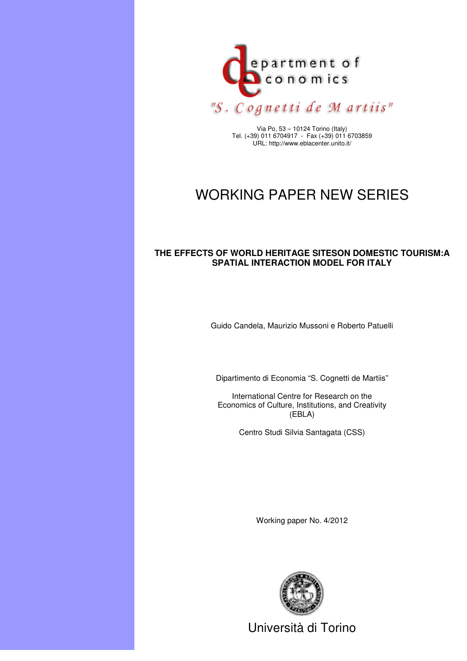

Via Po, 53 – 10124 Torino (Italy) Tel. (+39) 011 6704917 - Fax (+39) 011 6703859 URL: http://www.eblacenter.unito.it/

#### WORKING PAPER NEW SERIES

#### **THE EFFECTS OF WORLD HERITAGE SITESON DOMESTIC TOURISM:A SPATIAL INTERACTION MODEL FOR ITALY**

Guido Candela, Maurizio Mussoni e Roberto Patuelli

Dipartimento di Economia "S. Cognetti de Martiis"

International Centre for Research on the Economics of Culture, Institutions, and Creativity (EBLA)

Centro Studi Silvia Santagata (CSS)

Working paper No. 4/2012



Università di Torino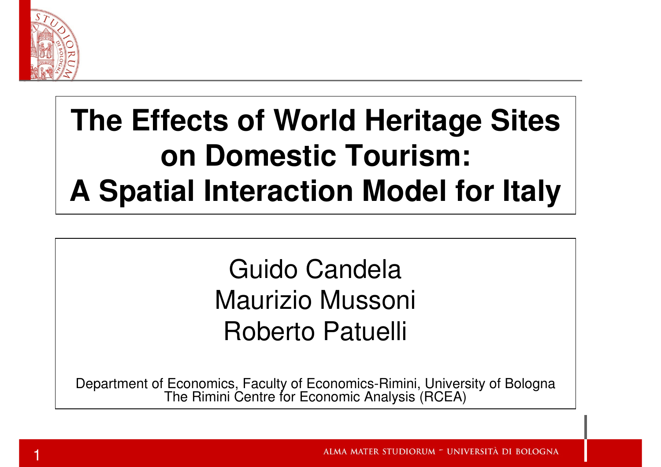

#### **The Effects of World Heritage Siteson Domestic Tourism:A Spatial Interaction Model for Italy**

#### Guido Candela Maurizio MussoniRoberto Patuelli

Department of Economics, Faculty of Economics-Rimini, University of BolognaThe Rimini Centre for Economic Analysis (RCEA)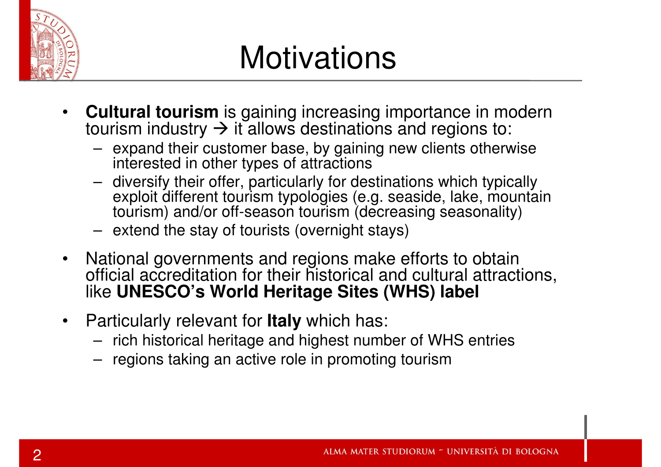

## **Motivations**

- •**Cultural tourism** is gaining increasing importance in modern to triangle to the distribution of the total to the tourism industry  $\rightarrow$  it allows destinations and regions to: tourism industry  $\rightarrow$  it allows destinations and regions to:<br>— expand their customer base, by gaining new clients othery
	- expand their customer base, by gaining new clients otherwise interested in other types of attractions
	- diversify their offer, particularly for destinations which typically exploit different tourism typologies (e.g. seaside, lake, mountain tourism) and/or off-season tourism (decreasing seasonality)
	- extend the stay of tourists (overnight stays)
- • National governments and regions make efforts to obtain official accreditation for their historical and cultural attractions, like **UNESCO's World Heritage Sites (WHS) label**
- • Particularly relevant for **Italy** which has:
	- rich historical heritage and highest number of WHS entries
	- regions taking an active role in promoting tourism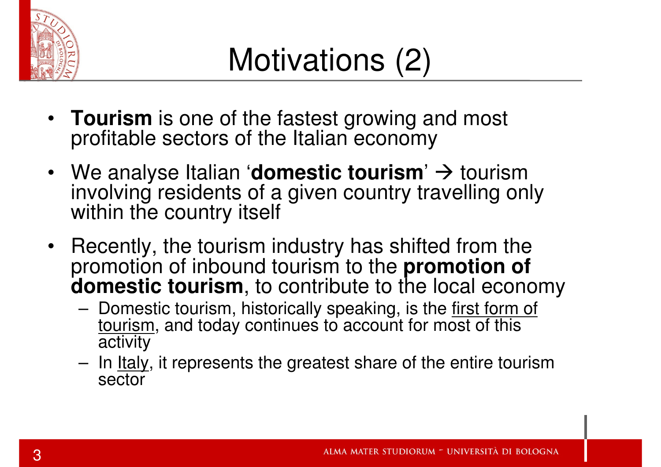

- **Tourism** is one of the fastest growing and most<br>profitable sectors of the Italian economy profitable sectors of the Italian economy
- We analyse Italian '**domestic tourism**'  $\rightarrow$  tourism<br>involving residents of a given country travelling onl involving residents of a given country travelling only within the country itself
- Recently, the tourism industry has shifted from the promotion of inbound tourism to the **promotion of domestic tourism**, to contribute to the local economy
	- –Domestic tourism, historically speaking, is the first form of tourism, and today continues to account for most of this **activity**
	- –In <u>Italy</u>, it represents the greatest share of the entire tourism sector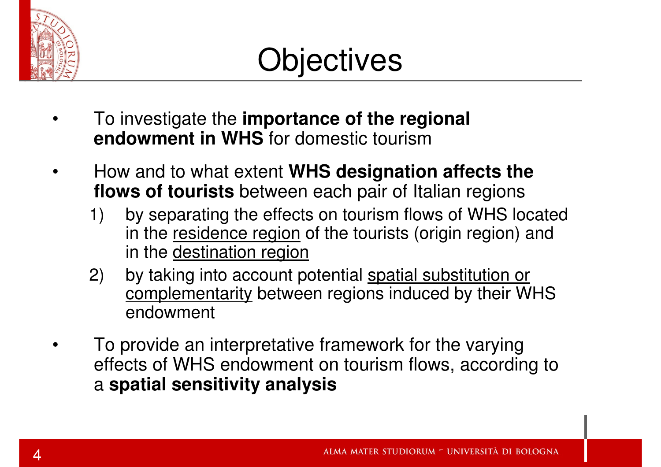

- • To investigate the **importance of the regional endowment in WHS** for domestic tourism
- • How and to what extent **WHS designation affects the flows of tourists** between each pair of Italian regions
	- 1) by separating the effects on tourism flows of WHS located in the residence region of the tourists (origin region) and in the destination region
	- 2) by taking into account potential spatial substitution or complementarity between regions induced by their WHS endowment
- • To provide an interpretative framework for the varying effects of WHS endowment on tourism flows, according to a **spatial sensitivity analysis**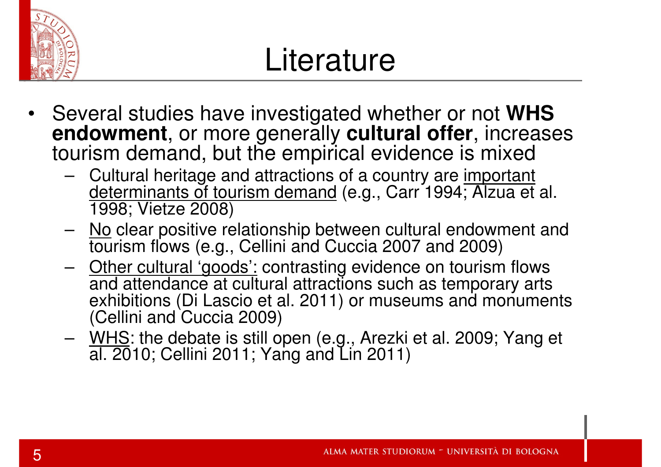

#### **Literature**

- • Several studies have investigated whether or not **WHS endowment**, or more generally **cultural offer**, increases tourism demand, but the empirical evidence is mixed
	- $\blacksquare$  ( `ultural haritana and attractions of a country ara importan Cultural heritage and attractions of a country are important <u>determinants of tourism demand</u> (e.g., Carr 1994; Alzua et al.<br>1998: Vietze 2009) 1998; Vietze 2008)
	- No clear positive relationship between cultural endowment and<br>touriers flows (e.g., Cellini and Cussia 2007 and 2009) tourism flows (e.g., Cellini and Cuccia 2007 and 2009)
	- Other cultural 'goods': contrasting evidence on tourism flows and attendance at cultural attractions such as temporary arts exhibitions (Di Lascio et al. 2011) or museums and monuments (Cellini and Cuccia 2009)
	- WHS: the debate is still open (e.g., Arezki et al. 2009; Yang et al. 2010; Cellini 2011; Yang and Lin 2011)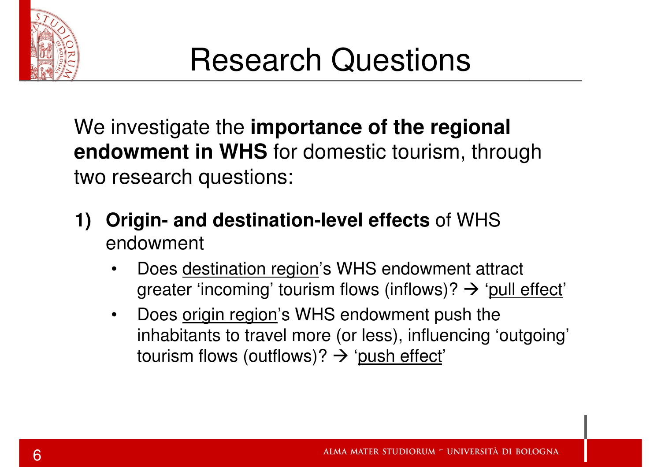

We investigate the **importance of the regional endowment in WHS** for domestic tourism, through two research questions:

- **1) Origin- and destination-level effects** of WHS endowment
	- • Does destination region's WHS endowment attract greater 'incoming' tourism flows (inflows)?  $\rightarrow$  '<u>pull effect</u>'<br>Dese exists resists's WUS anderwaset auch the
	- $\bullet$ Does origin region's WHS endowment push the inhabitants to travel more (or less), influencing 'outgoing'tourism flows (outflows)?  $\rightarrow$  '<u>push effect</u>'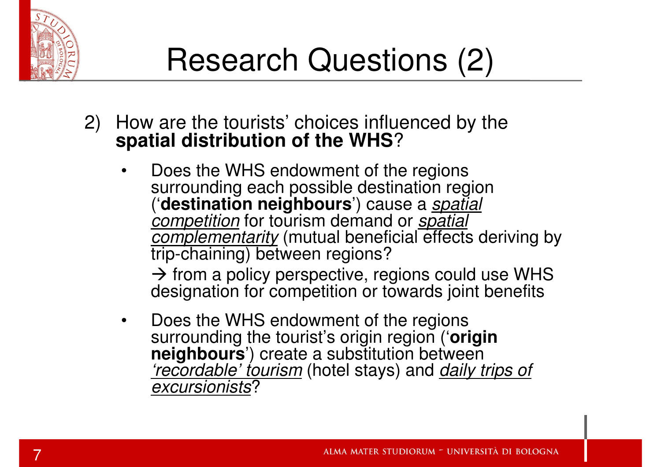

- 2) How are the tourists' choices influenced by the **spatial distribution of the WHS**?
	- • Does the WHS endowment of the regions surrounding each possible destination region ('**destination neighbours**') cause a spatial competition for tourism demand or spatial<br>complementerity (mutual beneficial effects *complementarity* (mutual beneficial effects deriving by<br>trip-chaining) between regions?

 $\rightarrow$  from a policy perspective, regions could use WHS designation for competition or towards joint benefits designation for competition or towards joint benefits

• Does the WHS endowment of the regions surrounding the tourist's origin region ('**origin** neighbours<sup>'</sup>) create a substitution between *'recordable' tourism* (hotel stays) and *daily trips of*<br>excursionists? excursionists?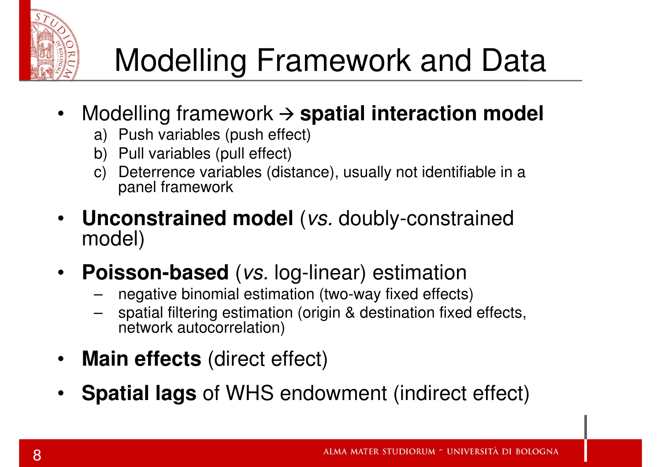

## Modelling Framework and Data

- Modelling framework **spatial interaction model**
	- a) Push variables (push effect)
	- b) Pull variables (pull effect)
	- c) Deterrence variables (distance), usually not identifiable in a panel framework
- $\bullet$  **Unconstrained model** (vs. doubly-constrained model)
- **Poisson-based** (vs. log-linear) estimation
	- negative binomial estimation (two-way fixed effects)
	- spatial filtering estimation (origin & destination fixed effects, network autocorrelation)
- $\bullet$ **Main effects** (direct effect)
- •**Spatial lags** of WHS endowment (indirect effect)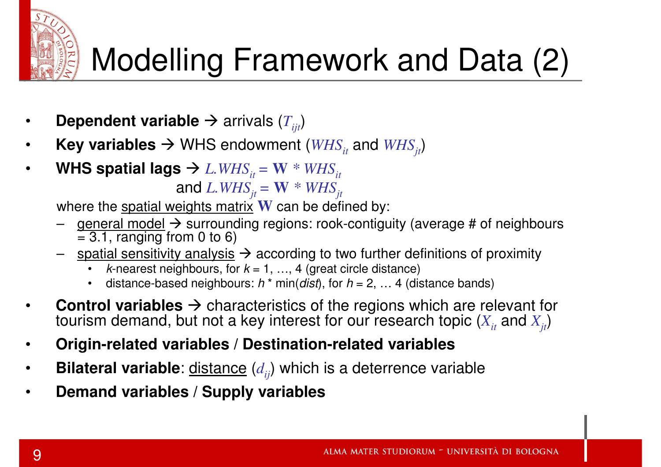

# Modelling Framework and Data (2)

- •● Dependent variable → arrivals ( $T_{ijt}$ )
- •● Key variables → WHS endowment ( $WHS$ <sub>*it*</sub> and  $WHS$ <sub>*jt</sub>*)</sub>
- • $\bullet$  WHS spatial lags  $\rightarrow$  *L.WHS*<sub>it</sub> = W  $^*$  *WHS*<sub>it</sub><br>and *I WH*S = W  $^*$  *WH*S  $\mathbf{and}\; L.WHS_{jt} = \mathbf{W}\;*\;WHS_{jt}$ eights matrix  $\mathbf{W}$  can be defi

where the <u>spatial weights matrix</u> **W** can be defined by:<br>− \_aeneral model → surrounding regions: rook-contigu

- <u>general model</u> → surrounding regions: rook-contiguity (average # of neighbours<br>= 3.1. ranging from 0 to 6)  $\overline{= 3.1}$ , ranging from 0 to 6)
- spatial sensitivity analysis  $\rightarrow$  according to two further definitions of proximity<br>• k-nearest neighbours for  $k = 1$  4 (great circle distance)
	- •*k*-nearest neighbours, for  $k = 1, ..., 4$  (great circle distance)
	- •distance-based neighbours:  $h * min(dist)$ , for  $h = 2, ... 4$  (distance bands)
- •**Control variables**  $\rightarrow$  characteristics of the regions which are relevant for to tourism demand, but not a key interest for our research topic  $(X)$ , and  $(X)$ tourism demand, but not a key interest for our research topic  $(X_{_{it}}$  and  $X_{_{jt}}$ )
- •**Origin-related variables / Destination-related variables**
- •**Bilateral variable**: distance (*dij*) which is a deterrence variable
- •**Demand variables / Supply variables**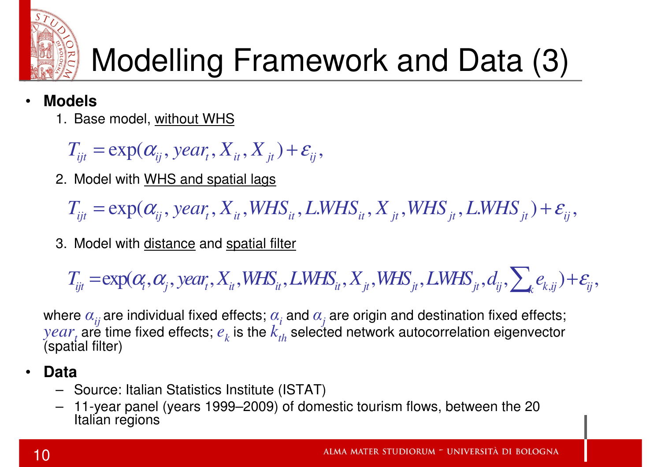

# Modelling Framework and Data (3)

- • **Models**
	- 1. Base model, <u>without WHS</u>

 $T_{ijt} = \exp(\alpha_{ij}, \text{year}, X_{it}, X_{jt}) + \varepsilon_{ij},$ 

2. Model with WHS and spatial lags

 $T_{ijt} = \exp(\alpha_{ij}, year_t, X_{it}, WHS_{it}, LWHS_{it}, X_{jt}, WHS_{jt}, LWHS_{jt}) + \varepsilon_{ij},$ 

3. Model with <u>distance</u> and <u>spatial filter</u>

$$
T_{ijt} = \exp(\alpha_i, \alpha_j, \text{year}_t, X_{it}, \text{WHS}_{it}, \text{LWHS}_{it}, X_{jt}, \text{WHS}_{jt}, \text{LWHS}_{jt}, d_{ij}, \sum_k e_{k,ij}) + \varepsilon_{ij},
$$

where  $\alpha_{ij}$  are individual fixed effects;  $\alpha_i$  and  $\alpha_j$  are origin and destination fixed effects;  $year_{t}$  are time fixed effects;  $e_{k}$  is the  $k_{th}^{'}$  selected network autocorrelation eigenvector (spatial filter)

#### •**Data**

- Source: Italian Statistics Institute (ISTAT)
- 11-year panel (years 1999–2009) of domestic tourism flows, between the 20 –Italian regions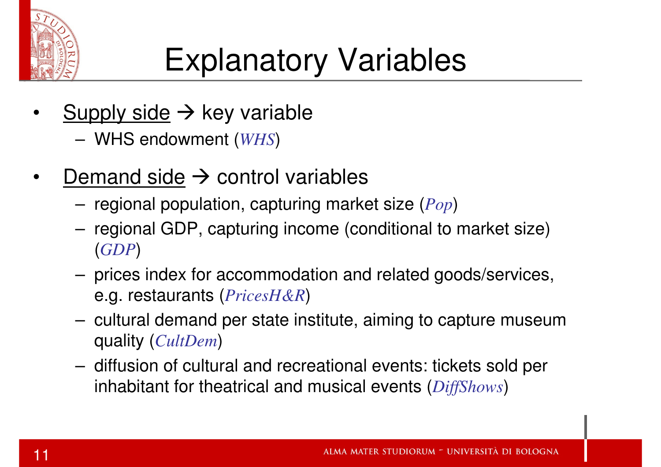

# Explanatory Variables

- •Supply side  $\rightarrow$  key variable
	- WHS endowment (*WHS*)
- •Demand side  $\rightarrow$  control variables
	- –regional population, capturing market size (*Pop*)
	- regional GDP, capturing income (conditional to market size) (*GDP*)
	- prices index for accommodation and related goods/services, e.g. restaurants (*PricesH&R*)
	- cultural demand per state institute, aiming to capture museum quality (*CultDem*)
	- diffusion of cultural and recreational events: tickets sold per inhabitant for theatrical and musical events (*DiffShows*)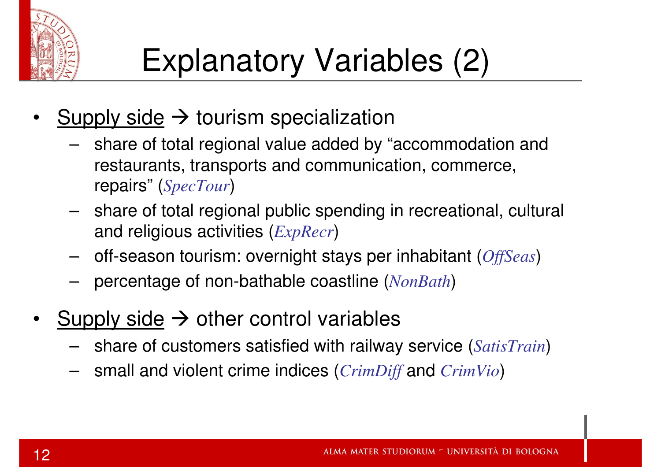

- •Supply side  $\rightarrow$  tourism specialization<br>
share of total regional value added by "
	- share of total regional value added by "accommodation and restaurants, transports and communication, commerce, repairs" (*SpecTour*)
	- share of total regional public spending in recreational, cultural and religious activities (*ExpRecr*)
	- –off-season tourism: overnight stays per inhabitant (*OffSeas*)
	- percentage of non-bathable coastline (*NonBath*)
- •Supply side  $\rightarrow$  other control variables
	- share of customers satisfied with railway service (*SatisTrain*)
	- small and violent crime indices (*CrimDiff* and *CrimVio*)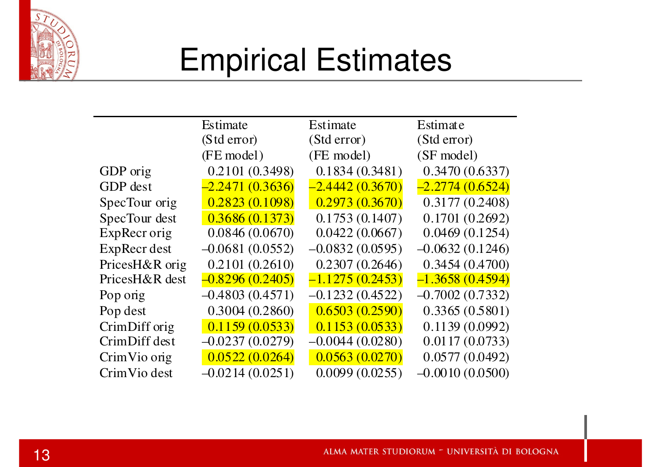

#### Empirical Estimates

|                | Estimate          | Estimate          | Estimate          |  |
|----------------|-------------------|-------------------|-------------------|--|
|                | (Std error)       | (Std error)       | (Std error)       |  |
|                | (FE model)        | (FE model)        | (SF model)        |  |
| GDP orig       | 0.2101 (0.3498)   | 0.1834(0.3481)    | 0.3470(0.6337)    |  |
| GDP dest       | $-2.2471(0.3636)$ | $-2,4442(0.3670)$ | $-2.2774(0.6524)$ |  |
| SpecTour orig  | 0.2823(0.1098)    | 0.2973(0.3670)    | 0.3177(0.2408)    |  |
| SpecTour dest  | 0.3686(0.1373)    | 0.1753(0.1407)    | 0.1701(0.2692)    |  |
| ExpRecr orig   | 0.0846(0.0670)    | 0.0422(0.0667)    | 0.0469(0.1254)    |  |
| ExpRecr dest   | $-0.0681(0.0552)$ | $-0.0832(0.0595)$ | $-0.0632(0.1246)$ |  |
| PricesH&R orig | 0.2101(0.2610)    | 0.2307(0.2646)    | 0.3454(0.4700)    |  |
| PricesH&R dest | $-0.8296(0.2405)$ | $-1.1275(0.2453)$ | $-1.3658(0.4594)$ |  |
| Pop orig       | $-0.4803(0.4571)$ | $-0.1232(0.4522)$ | $-0.7002(0.7332)$ |  |
| Pop dest       | 0.3004(0.2860)    | 0.6503(0.2590)    | 0.3365(0.5801)    |  |
| CrimDiff orig  | 0.1159(0.0533)    | 0.1153(0.0533)    | 0.1139(0.0992)    |  |
| CrimDiff dest  | $-0.0237(0.0279)$ | $-0.0044(0.0280)$ | 0.0117(0.0733)    |  |
| Crim Vio orig  | 0.0522(0.0264)    | 0.0563(0.0270)    | 0.0577(0.0492)    |  |
| Crim Vio dest  | $-0.0214(0.0251)$ | 0.0099(0.0255)    | $-0.0010(0.0500)$ |  |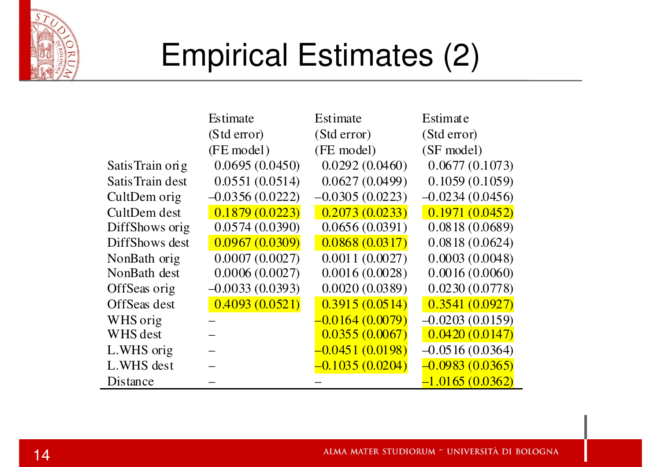

## Empirical Estimates (2)

|                  | Estimate          | Estimate          | Estimate          |
|------------------|-------------------|-------------------|-------------------|
|                  | (Std error)       | (Std error)       | (Std error)       |
|                  | (FE model)        | (FE model)        | (SF model)        |
| Satis Train orig | 0.0695(0.0450)    | 0.0292(0.0460)    | 0.0677(0.1073)    |
| Satis Train dest | 0.0551(0.0514)    | 0.0627(0.0499)    | 0.1059(0.1059)    |
| CultDem orig     | $-0.0356(0.0222)$ | $-0.0305(0.0223)$ | $-0.0234(0.0456)$ |
| CultDem dest     | 0.1879(0.0223)    | 0.2073(0.0233)    | 0.1971(0.0452)    |
| DiffShows orig   | 0.0574(0.0390)    | 0.0656(0.0391)    | 0.0818(0.0689)    |
| DiffShows dest   | 0.0967(0.0309)    | 0.0868(0.0317)    | 0.0818(0.0624)    |
| NonBath orig     | 0.0007(0.0027)    | 0.0011(0.0027)    | 0.0003(0.0048)    |
| NonBath dest     | 0.0006(0.0027)    | 0.0016(0.0028)    | 0.0016(0.0060)    |
| OffSeas orig     | $-0.0033(0.0393)$ | 0.0020(0.0389)    | 0.0230(0.0778)    |
| OffSeas dest     | 0.4093(0.0521)    | 0.3915(0.0514)    | 0.3541(0.0927)    |
| WHS orig         |                   | $-0.0164(0.0079)$ | $-0.0203(0.0159)$ |
| WHS dest         |                   | 0.0355(0.0067)    | 0.0420(0.0147)    |
| L.WHS orig       |                   | $-0.0451(0.0198)$ | $-0.0516(0.0364)$ |
| L.WHS dest       |                   | $-0.1035(0.0204)$ | $-0.0983(0.0365)$ |
| Distance         |                   |                   | $-1.0165(0.0362)$ |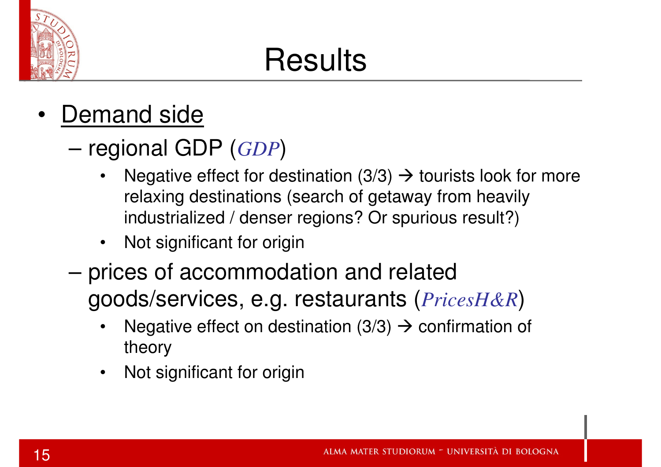

## **Results**

- • Demand side
	- regional GDP (*GDP*)
		- •Negative effect for destination  $(3/3) \rightarrow$  tourists look for more relaxing destinations (search of getaway from heavily relaxing destinations (search of getaway from heavily industrialized / denser regions? Or spurious result?)
		- $\bullet$ Not significant for origin
	- prices of accommodation and related goods/services, e.g. restaurants (*PricesH&R*)
		- •Negative effect on destination  $(3/3) \rightarrow$  confirmation of theory theory
		- •Not significant for origin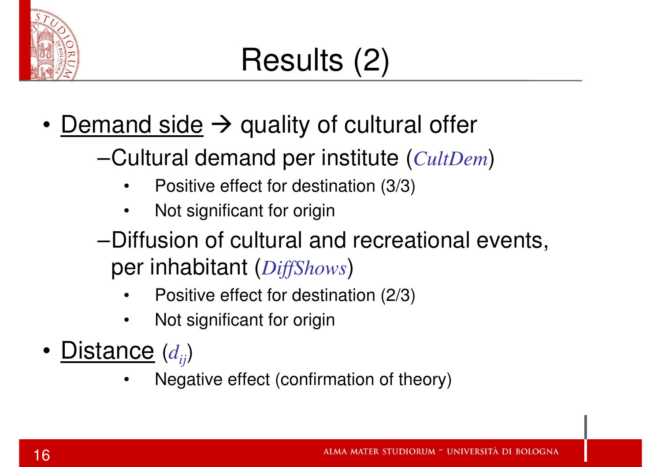

## Results (2)

- Demand side  $\rightarrow$  quality of cultural offer
	- –Cultural demand per institute (*CultDem*)
		- •Positive effect for destination (3/3)
		- •Not significant for origin
	- –Diffusion of cultural and recreational events, per inhabitant (*DiffShows*)
		- •Positive effect for destination (2/3)
		- •Not significant for origin
- Distance (*dij*)
	- •Negative effect (confirmation of theory)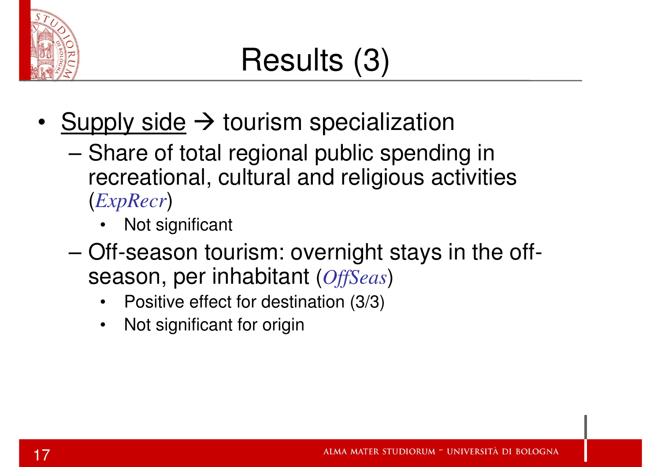

#### Results (3)

- • $\frac{\text{Supply side}}{\text{Suppose of total regions}$  public specialization
	- Share of total regional public spending in recreational, cultural and religious activities(*ExpRecr*)
		- •Not significant
	- Off-season tourism: overnight stays in the offseason, per inhabitant (*OffSeas*)
		- Positive effect for destination (3/3)
		- •Not significant for origin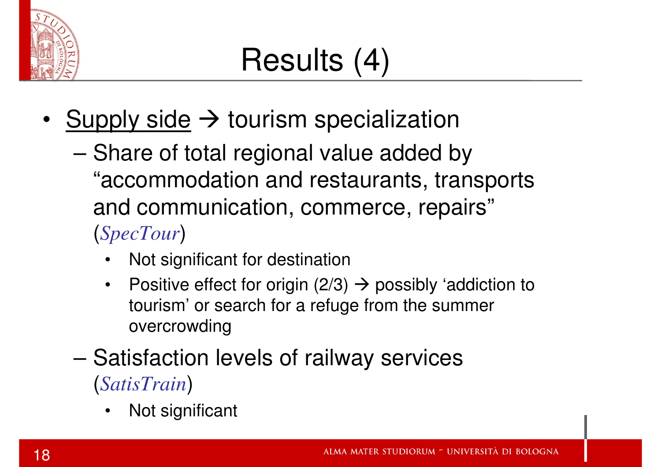

## Results (4)

- •Supply side  $\rightarrow$  tourism specialization
	- and the state of the state Share of total regional value added by "accommodation and restaurants, transports and communication, commerce, repairs"(*SpecTour*)
		- •Not significant for destination
		- •Positive effect for origin  $(2/3) \rightarrow$  possibly 'addiction to tourism' or search for a refuge from the summer tourism' or search for a refuge from the summer overcrowding
	- and the state of the state Satisfaction levels of railway services(*SatisTrain*)
		- •Not significant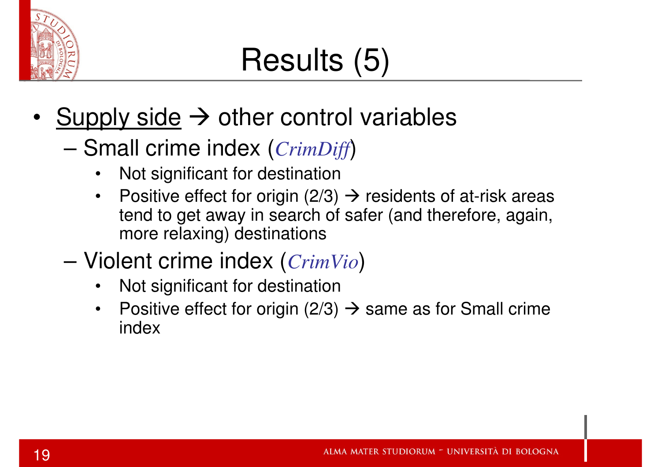

## Results (5)

- •Supply side  $\rightarrow$  other control variables<br>
Small crime index (Crim Diff)
	- Small crime index (*CrimDiff*)
		- •Not significant for destination
		- Positive effect for origin  $(2/3) \rightarrow$  residents of at-risk areas<br>tend to get away in search of safer (and therefore again  $\bullet$ tend to get away in search of safer (and therefore, again, more relaxing) destinations
	- – Violent crime index (*CrimVio*)
		- •Not significant for destination
		- Positive effect for origin (2/3)  $\rightarrow$  same as for Small crime index  $\bullet$ index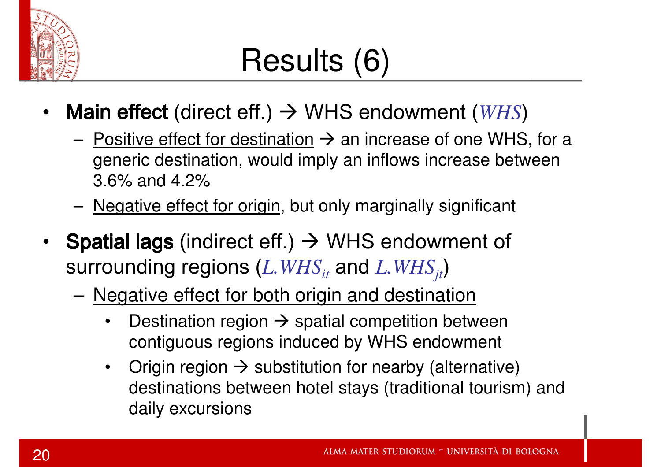

#### Results (6)

- •• **Main effect** (direct eff.) → WHS endowment (*WHS*)
	- –Positive effect for destination  $\rightarrow$  an increase of one WHS, for a negative destination would imply an inflows increase between generic destination, would imply an inflows increase between 3.6% and 4.2%
	- מזון באטוופרא Negative effect for origin, but only marginally significant
- **Spatial lags** (indirect eff.)  $\rightarrow$  WHS endowment of entries in the series of  $WHS$ surrounding regions (*L.WHSit* and *L.WHSjt*)
	- Negative effect for both origin and destination
		- •Destination region  $\rightarrow$  spatial competition between<br>contiguous regions induced by WHS endowment contiguous regions induced by WHS endowment
		- •Origin region  $\rightarrow$  substitution for nearby (alternative)<br>destinations between botel stavs (traditional tourism destinations between hotel stays (traditional tourism) and daily excursions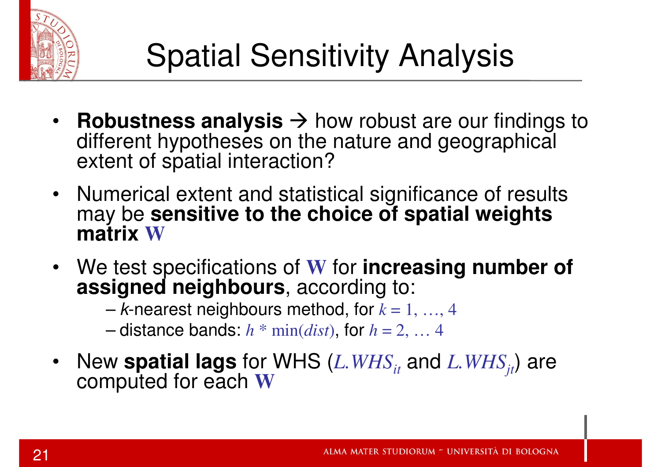

- •**Robustness analysis**  $\rightarrow$  how robust are our findings to<br>different hypotheses on the nature and geographical different hypotheses on the nature and geographical extent of spatial interaction?
- Numerical extent and statistical significance of results may be **sensitive to the choice of spatial weights matrix <sup>W</sup>**
- We test specifications of **<sup>W</sup>** for **increasing number of assigned neighbours**, according to:

–<sup>k</sup>-nearest neighbours method, for *<sup>k</sup>* = 1, …, 4

–distance bands:  $h * min(dist)$ , for  $h = 2, ..., 4$ 

•New **spatial lags** for WHS (*L.WHSit* and *L.WHSjt*) are computed for each **<sup>W</sup>**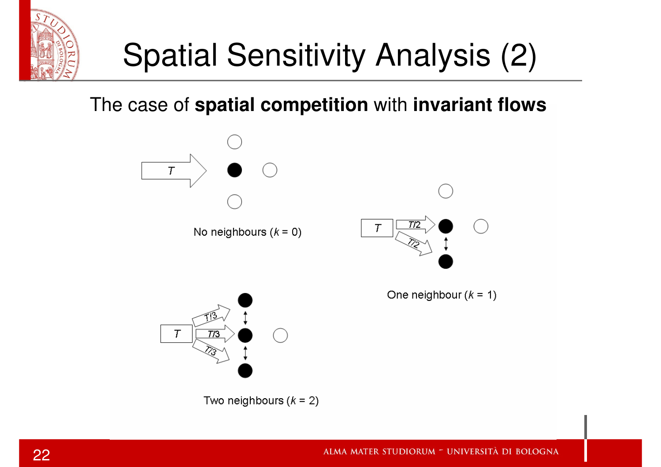

## Spatial Sensitivity Analysis (2)

#### The case of **spatial competition** with **invariant flows**



Two neighbours  $(k = 2)$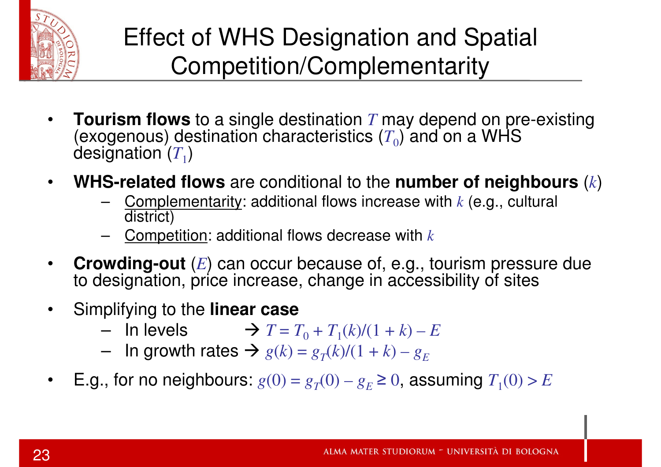

#### Effect of WHS Designation and Spatial Competition/Complementarity

- •• **Tourism flows** to a single destination *T* may depend on pre-existing (T) (average up) destination obstaction (T) and an a WLIS (exogenous) destination characteristics  $(T_0)$  and on a WHS designation  $(T_1)$
- • **WHS-related flows** are conditional to the **number of neighbours** (*k*)
	- – Complementarity: additional flows increase with *<sup>k</sup>* (e.g., cultural district)
	- –Competition: additional flows decrease with *<sup>k</sup>*
- • **Crowding-out** (*E*) can occur because of, e.g., tourism pressure due to designation, price increase, change in accessibility of sites
- $\bullet$  Simplifying to the **linear case**
	- $-$  In layele  $\rightarrow T-$ In levels  $\rightarrow T = T_0 + T_1(k)/(1 + k) - E$ <br>In growth rates  $\rightarrow a(k) = a(k)/(1 + k) - a$
	- In growth rates  $\rightarrow g(k) = g_T(k)/(1 + k) g_E$
- •E.g., for no neighbours:  $g(0) = g_T(0) - g_E \ge 0$ , assuming  $T_1(0) > E$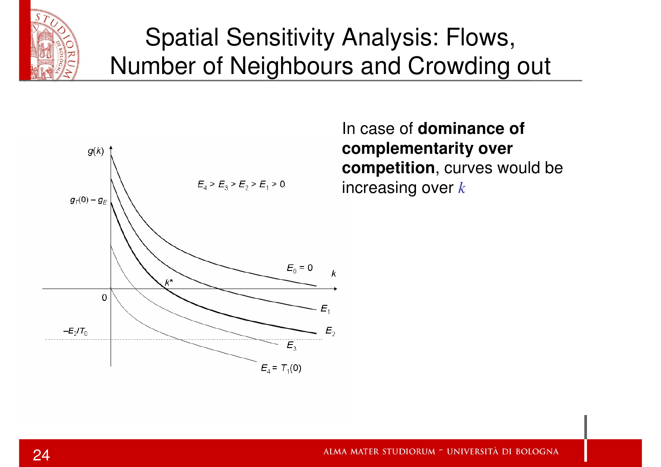

#### Spatial Sensitivity Analysis: Flows,Number of Neighbours and Crowding out



In case of **dominance of complementarity over competition**, curves would be increasing over *k*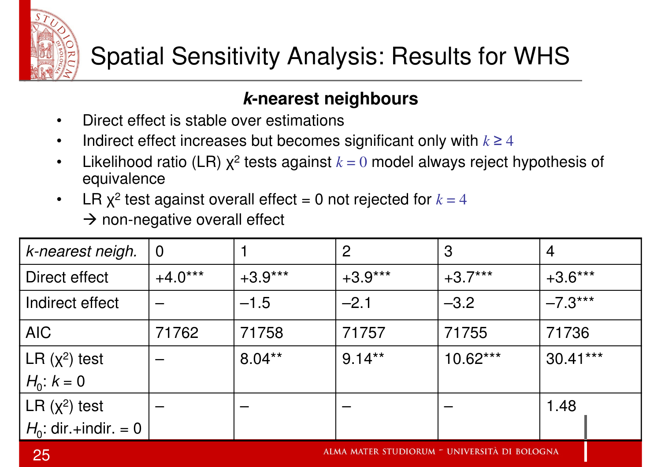

#### **k-nearest neighbours**

- •Direct effect is stable over estimations
- Indirect effect increases but becomes significant only with  $k \geq 4$  $\bullet$
- •Likelihood ratio (LR)  $\chi^2$  tests against  $k = 0$  model always reject hypothesis of equivalence
- LR  $\chi^2$  test against overall effect = 0 not rejected for  $k = 4$  $\bullet$ → non-negative overall effect

| k-nearest neigh.        | $\overline{0}$ |           | $\overline{2}$ | 3          | $\overline{4}$ |
|-------------------------|----------------|-----------|----------------|------------|----------------|
| Direct effect           | $+4.0***$      | $+3.9***$ | $+3.9***$      | $+3.7***$  | $+3.6***$      |
| Indirect effect         |                | $-1.5$    | $-2.1$         | $-3.2$     | $-7.3***$      |
| AIC                     | 71762          | 71758     | 71757          | 71755      | 71736          |
| LR $(x^2)$ test         |                | $8.04**$  | $9.14***$      | $10.62***$ | $30.41***$     |
| $H_0$ : $k = 0$         |                |           |                |            |                |
| LR $(x^2)$ test         |                |           |                |            | 1.48           |
| $H_0$ : dir +indir. = 0 |                |           |                |            |                |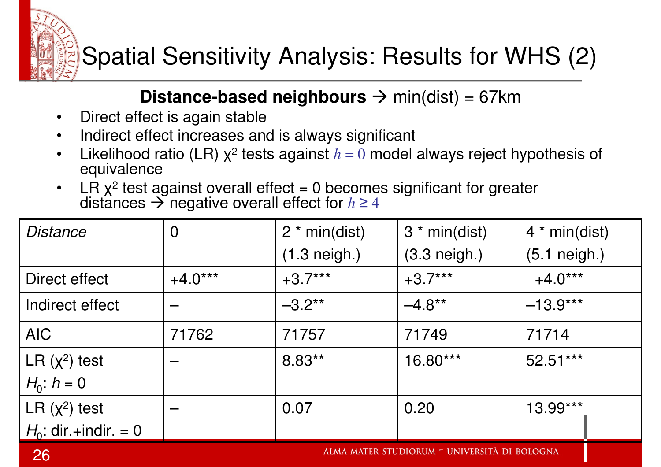

#### **Distance-based neighbours →** min(dist) = 67km<br>iect is again stable

- •Direct effect is again stable
- Indirect effect increases and is always significant •
- •Likelihood ratio (LR)  $\chi^2$  tests against  $h = 0$  model always reject hypothesis of equivalence
- •LR  $x^2$  test against overall effect = 0 becomes significant for greater distances negative overall effect for *<sup>h</sup>* <sup>≥</sup> <sup>4</sup>

| Distance                | $\overline{0}$ | $2 * min(dist)$        | $3 * min(dist)$        | $4 * min(dist)$ |
|-------------------------|----------------|------------------------|------------------------|-----------------|
|                         |                | $(1.3 \text{ neigh.})$ | $(3.3 \text{ neigh.})$ | $(5.1$ neigh.)  |
| Direct effect           | $+4.0***$      | $+3.7***$              | $+3.7***$              | $+4.0***$       |
| Indirect effect         |                | $-3.2**$               | $-4.8***$              | $-13.9***$      |
| <b>AIC</b>              | 71762          | 71757                  | 71749                  | 71714           |
| LR $(x^2)$ test         |                | $8.83**$               | 16.80***               | $52.51***$      |
| $H_0$ : $h = 0$         |                |                        |                        |                 |
| LR $(x^2)$ test         |                | 0.07                   | 0.20                   | 13.99***        |
| $H_0$ : dir +indir. = 0 |                |                        |                        |                 |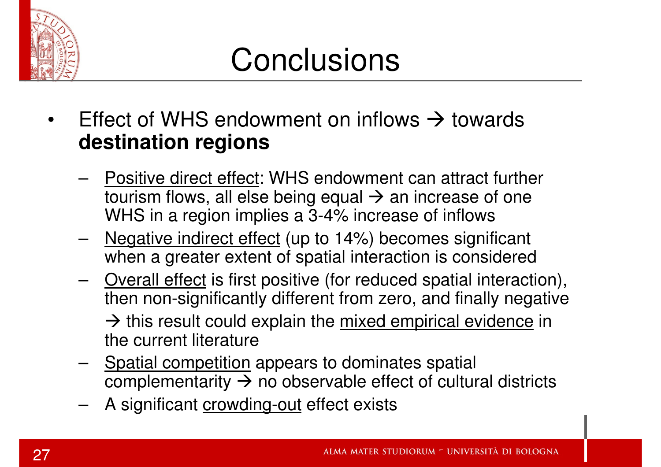

#### **Conclusions**

- •Effect of WHS endowment on inflows  $\rightarrow$  towards destination regions **destination regions**
	- Positive direct effect: WHS endowment can attract further tourism flows, all else being equal → an increase of one<br>WHS in a region implies a 3-4% increase of inflows WHS in a region implies a 3-4% increase of inflows
	- Negative indirect effect (up to 14%) becomes significant when a greater extent of spatial interaction is considered
	- –Overall effect is first positive (for reduced spatial interaction), then non-significantly different from zero, and finally negative→ this result could explain the <u>mixed empirical evidence</u> in<br>the current literature the current literature
	- Spatial competition appears to dominates spatial complementarity  $\rightarrow$  no observable effect of cultural districts<br>A significant erouding out effect exists
	- A significant crowding-out effect exists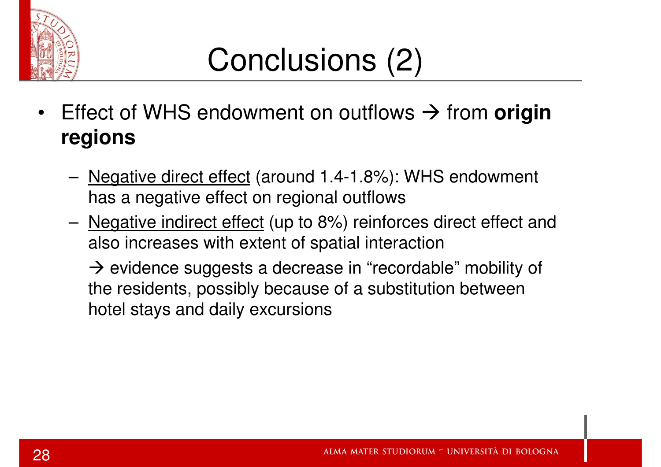

- •Effect of WHS endowment on outflows  $\rightarrow$  from **origin** regions **regions**
	- Negative direct effect (around 1.4-1.8%): WHS endowment has a negative effect on regional outflows
	- Negative indirect effect (up to 8%) reinforces direct effect and also increases with extent of spatial interaction

→ evidence suggests a decrease in "recordable" mobility of<br>the residents, possibly because of a substitution between the residents, possibly because of a substitution between hotel stays and daily excursions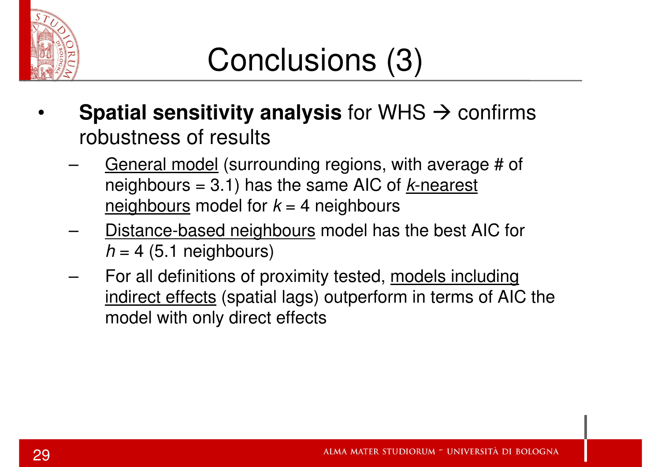

- •**Spatial sensitivity analysis** for WHS  $\rightarrow$  confirms<br>robustness of results robustness of results
	- General model (surrounding regions, with average # of neighbours = 3.1) has the same AIC of  $k$ -nearest <u>neighbours</u> model for  $k$  = 4 neighbours
	- Distance-based neighbours model has the best AIC for  $h = 4$  (5.1 neighbours)
	- – For all definitions of proximity tested, models including indirect effects (spatial lags) outperform in terms of AIC the model with only direct effects